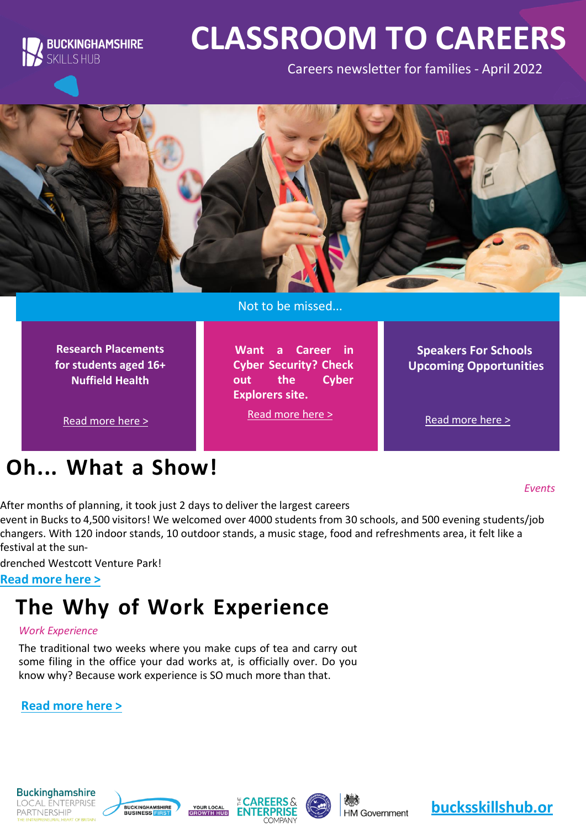

# **CLASSROOM TO CAREERS**

Careers newsletter for families - April 2022



Not to be missed...

**Want a Career in Cyber Security? Check out the Cyber** 

[Read more here >](https://www.cyberexplorers.co.uk/)

**Explorers site.**

**Research Placements for students aged 16+ Nuffield Health**

[Read more here >](https://www.nuffieldresearchplacements.org/apply-student-placement)

### **Oh... What a Show!**

**Speakers For Schools Upcoming Opportunities**

[Read more here >](https://bucksskillshub.org/career-seeker/resources/speakers-for-schools-april-opportunities)

*Events*

After months of planning, it took just 2 days to deliver the largest careers

event in Bucks to 4,500 visitors! We welcomed over 4000 students from 30 schools, and 500 evening students/job changers. With 120 indoor stands, 10 outdoor stands, a music stage, food and refreshments area, it felt like a festival at the sun-

drenched Westcott Venture Park!

**Read [more](https://bucksskillshub.org/career-seeker/resources/oh-what-a-show) here >**

### **The Why of Work Experience**

#### *Work Experience*

The traditional two weeks where you make cups of tea and carry out some filing in the office your dad works at, is officially over. Do you know why? Because work experience is SO much more than that.

**Read [more](https://bucksskillshub.org/career-seeker/resources/the-why-of-work-experience) here >**









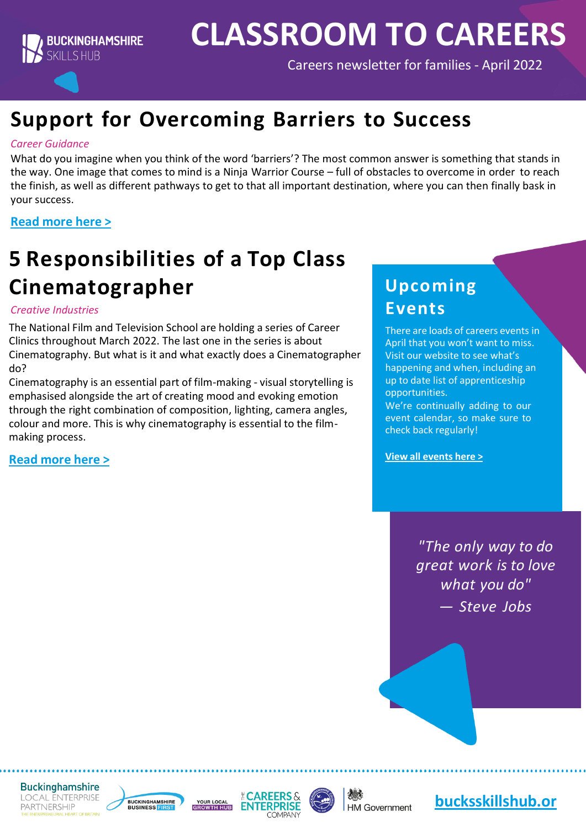

## **CLASSROOM TO CAREERS**

Careers newsletter for families - April 2022

### **Support for Overcoming Barriers to Success**

#### *Career Guidance*

What do you imagine when you think of the word 'barriers'? The most common answer is something that stands in the way. One image that comes to mind is a Ninja Warrior Course – full of obstacles to overcome in order to reach the finish, as well as different pathways to get to that all important destination, where you can then finally bask in your success.

#### **Read [more](https://bucksskillshub.org/career-seeker/resources/support-for-overcoming-barriers-to-success) here >**

### **5 Responsibilities of a Top Class Cinematographer**

#### *Creative Industries*

The National Film and Television School are holding a series of Career Clinics throughout March 2022. The last one in the series is about Cinematography. But what is it and what exactly does a Cinematographer do?

Cinematography is an essential part of film-making - visual storytelling is emphasised alongside the art of creating mood and evoking emotion through the right combination of composition, lighting, camera angles, colour and more. This is why cinematography is essential to the filmmaking process.

**Read [more](https://bucksskillshub.org/career-seeker/resources/5-responsibilities-of-a-top-class-cinematographer) here >**

### **Upcoming Events**

There are loads of careers events in April that you won't want to miss. Visit our website to see what's happening and when, including an up to date list of apprenticeship opportunities.

We're continually adding to our event calendar, so make sure to check back regularly!

**View all [events](https://www.bucksskillshub.org/events) here >**

*"The only way to do great work is to love what you do" — Steve Jobs*

**Buckinghamshire LOCAL ENTERPRISE PARTNERSHIP** 







**HM Government** 

**[bucksskillshub.or](http://bucksskillshub.org/)**